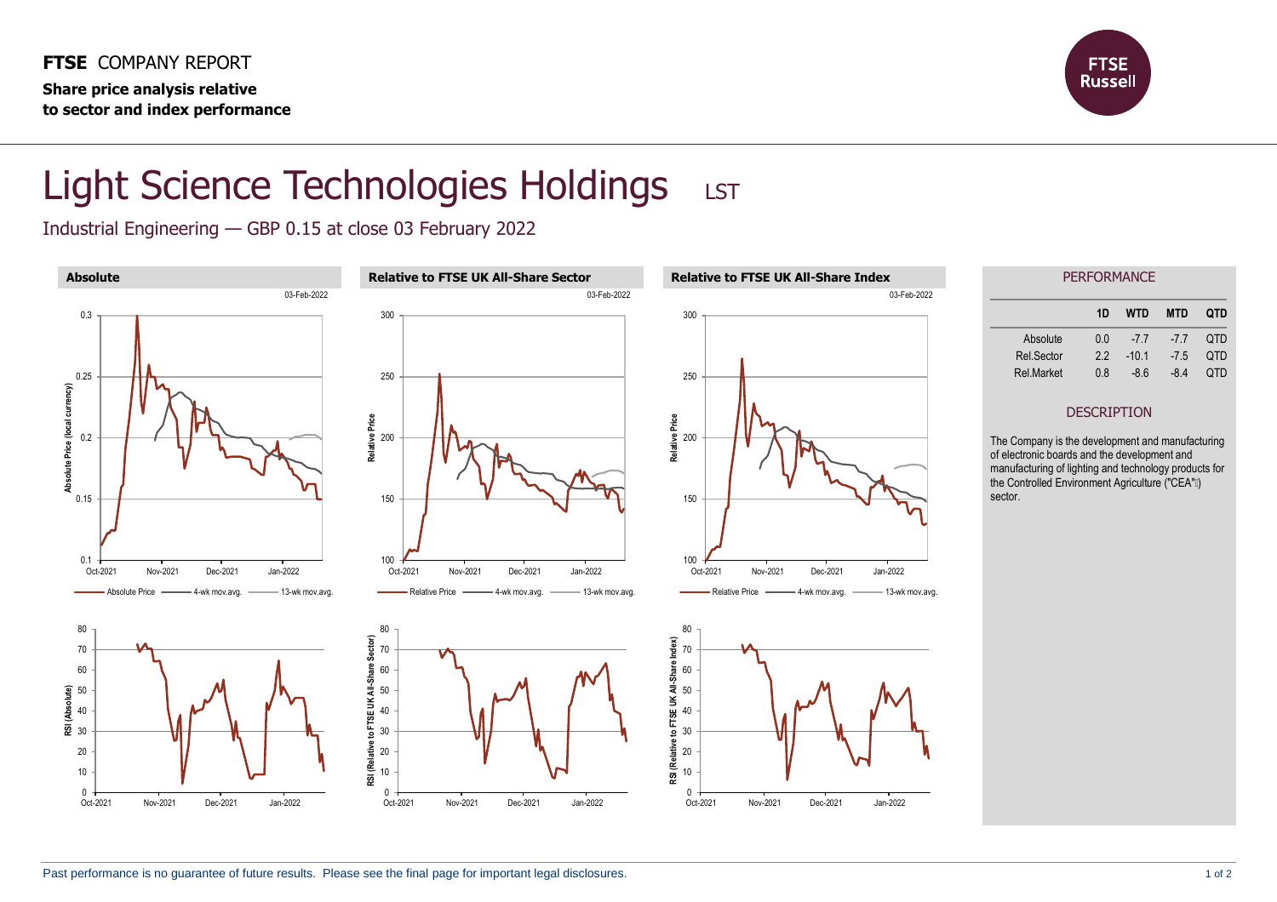

## Light Science Technologies Holdings LST

Industrial Engineering — GBP 0.15 at close 03 February 2022